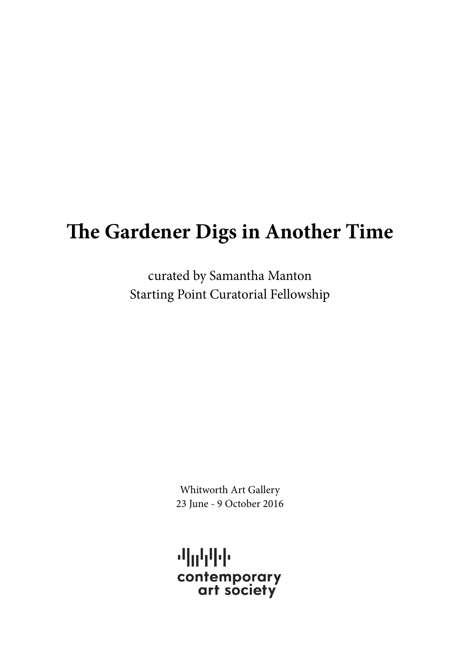# **The Gardener Digs in Another Time**

curated by Samantha Manton Starting Point Curatorial Fellowship

> Whitworth Art Gallery 23 June - 9 October 2016

机动中国 contemporary<br>art society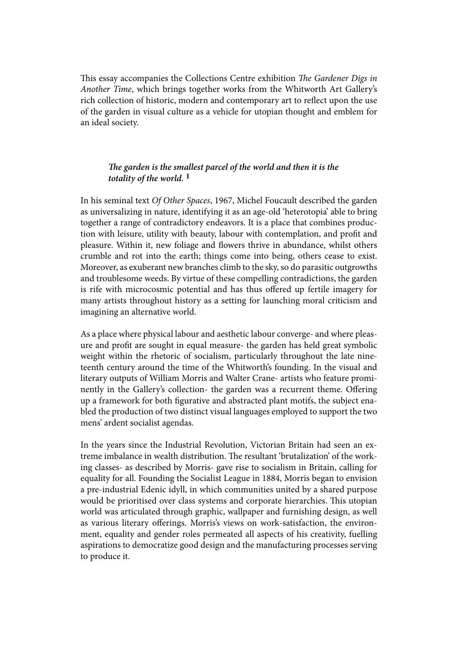This essay accompanies the Collections Centre exhibition *The Gardener Digs in Another Time*, which brings together works from the Whitworth Art Gallery's rich collection of historic, modern and contemporary art to reflect upon the use of the garden in visual culture as a vehicle for utopian thought and emblem for an ideal society.

## *The garden is the smallest parcel of the world and then it is the totality of the world.* **1**

In his seminal text *Of Other Spaces*, 1967, Michel Foucault described the garden as universalizing in nature, identifying it as an age-old 'heterotopia' able to bring together a range of contradictory endeavors. It is a place that combines production with leisure, utility with beauty, labour with contemplation, and profit and pleasure. Within it, new foliage and flowers thrive in abundance, whilst others crumble and rot into the earth; things come into being, others cease to exist. Moreover, as exuberant new branches climb to the sky, so do parasitic outgrowths and troublesome weeds. By virtue of these compelling contradictions, the garden is rife with microcosmic potential and has thus offered up fertile imagery for many artists throughout history as a setting for launching moral criticism and imagining an alternative world.

As a place where physical labour and aesthetic labour converge- and where pleasure and profit are sought in equal measure- the garden has held great symbolic weight within the rhetoric of socialism, particularly throughout the late nineteenth century around the time of the Whitworth's founding. In the visual and literary outputs of William Morris and Walter Crane- artists who feature prominently in the Gallery's collection- the garden was a recurrent theme. Offering up a framework for both figurative and abstracted plant motifs, the subject enabled the production of two distinct visual languages employed to support the two mens' ardent socialist agendas.

In the years since the Industrial Revolution, Victorian Britain had seen an extreme imbalance in wealth distribution. The resultant 'brutalization' of the working classes- as described by Morris- gave rise to socialism in Britain, calling for equality for all. Founding the Socialist League in 1884, Morris began to envision a pre-industrial Edenic idyll, in which communities united by a shared purpose would be prioritised over class systems and corporate hierarchies. This utopian world was articulated through graphic, wallpaper and furnishing design, as well as various literary offerings. Morris's views on work-satisfaction, the environment, equality and gender roles permeated all aspects of his creativity, fuelling aspirations to democratize good design and the manufacturing processes serving to produce it.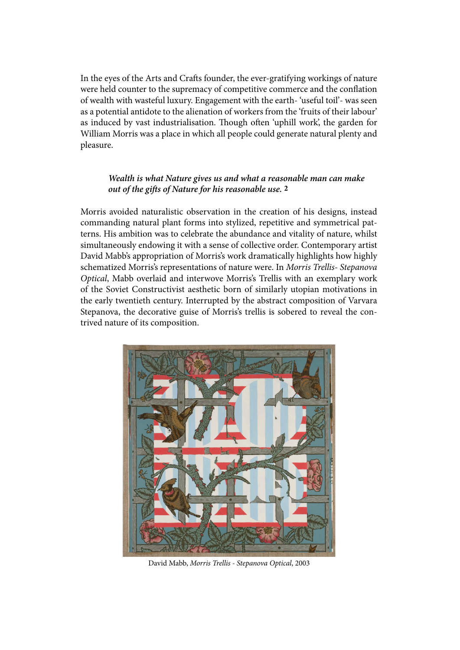In the eyes of the Arts and Crafts founder, the ever-gratifying workings of nature were held counter to the supremacy of competitive commerce and the conflation of wealth with wasteful luxury. Engagement with the earth- 'useful toil'- was seen as a potential antidote to the alienation of workers from the 'fruits of their labour' as induced by vast industrialisation. Though often 'uphill work', the garden for William Morris was a place in which all people could generate natural plenty and pleasure.

### *Wealth is what Nature gives us and what a reasonable man can make out of the gifts of Nature for his reasonable use.* **2**

Morris avoided naturalistic observation in the creation of his designs, instead commanding natural plant forms into stylized, repetitive and symmetrical patterns. His ambition was to celebrate the abundance and vitality of nature, whilst simultaneously endowing it with a sense of collective order. Contemporary artist David Mabb's appropriation of Morris's work dramatically highlights how highly schematized Morris's representations of nature were. In *Morris Trellis- Stepanova Optical*, Mabb overlaid and interwove Morris's Trellis with an exemplary work of the Soviet Constructivist aesthetic born of similarly utopian motivations in the early twentieth century. Interrupted by the abstract composition of Varvara Stepanova, the decorative guise of Morris's trellis is sobered to reveal the contrived nature of its composition.



David Mabb, *Morris Trellis - Stepanova Optical*, 2003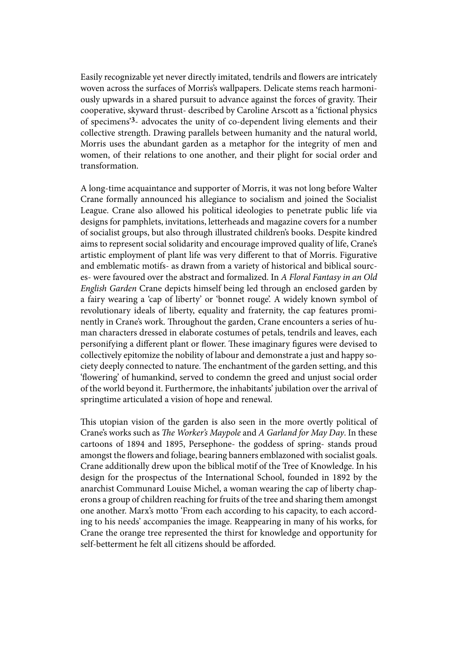Easily recognizable yet never directly imitated, tendrils and flowers are intricately woven across the surfaces of Morris's wallpapers. Delicate stems reach harmoniously upwards in a shared pursuit to advance against the forces of gravity. Their cooperative, skyward thrust- described by Caroline Arscott as a 'fictional physics of specimens'**3**- advocates the unity of co-dependent living elements and their collective strength. Drawing parallels between humanity and the natural world, Morris uses the abundant garden as a metaphor for the integrity of men and women, of their relations to one another, and their plight for social order and transformation.

A long-time acquaintance and supporter of Morris, it was not long before Walter Crane formally announced his allegiance to socialism and joined the Socialist League. Crane also allowed his political ideologies to penetrate public life via designs for pamphlets, invitations, letterheads and magazine covers for a number of socialist groups, but also through illustrated children's books. Despite kindred aims to represent social solidarity and encourage improved quality of life, Crane's artistic employment of plant life was very different to that of Morris. Figurative and emblematic motifs- as drawn from a variety of historical and biblical sources- were favoured over the abstract and formalized. In *A Floral Fantasy in an Old English Garden* Crane depicts himself being led through an enclosed garden by a fairy wearing a 'cap of liberty' or 'bonnet rouge'. A widely known symbol of revolutionary ideals of liberty, equality and fraternity, the cap features prominently in Crane's work. Throughout the garden, Crane encounters a series of human characters dressed in elaborate costumes of petals, tendrils and leaves, each personifying a different plant or flower. These imaginary figures were devised to collectively epitomize the nobility of labour and demonstrate a just and happy society deeply connected to nature. The enchantment of the garden setting, and this 'flowering' of humankind, served to condemn the greed and unjust social order of the world beyond it. Furthermore, the inhabitants' jubilation over the arrival of springtime articulated a vision of hope and renewal.

This utopian vision of the garden is also seen in the more overtly political of Crane's works such as *The Worker's Maypole* and *A Garland for May Day*. In these cartoons of 1894 and 1895, Persephone- the goddess of spring- stands proud amongst the flowers and foliage, bearing banners emblazoned with socialist goals. Crane additionally drew upon the biblical motif of the Tree of Knowledge. In his design for the prospectus of the International School, founded in 1892 by the anarchist Communard Louise Michel, a woman wearing the cap of liberty chaperons a group of children reaching for fruits of the tree and sharing them amongst one another. Marx's motto 'From each according to his capacity, to each according to his needs' accompanies the image. Reappearing in many of his works, for Crane the orange tree represented the thirst for knowledge and opportunity for self-betterment he felt all citizens should be afforded.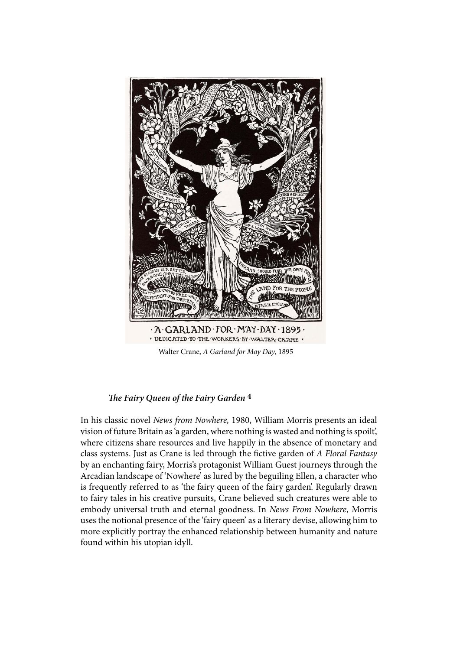

### *The Fairy Queen of the Fairy Garden* **4**

In his classic novel *News from Nowhere,* 1980, William Morris presents an ideal vision of future Britain as 'a garden, where nothing is wasted and nothing is spoilt', where citizens share resources and live happily in the absence of monetary and class systems. Just as Crane is led through the fictive garden of *A Floral Fantasy*  by an enchanting fairy, Morris's protagonist William Guest journeys through the Arcadian landscape of 'Nowhere' as lured by the beguiling Ellen, a character who is frequently referred to as 'the fairy queen of the fairy garden'. Regularly drawn to fairy tales in his creative pursuits, Crane believed such creatures were able to embody universal truth and eternal goodness. In *News From Nowhere*, Morris uses the notional presence of the 'fairy queen' as a literary devise, allowing him to more explicitly portray the enhanced relationship between humanity and nature found within his utopian idyll.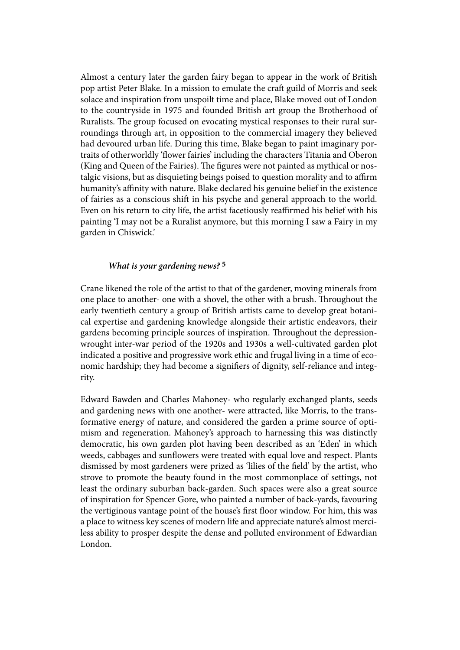Almost a century later the garden fairy began to appear in the work of British pop artist Peter Blake. In a mission to emulate the craft guild of Morris and seek solace and inspiration from unspoilt time and place, Blake moved out of London to the countryside in 1975 and founded British art group the Brotherhood of Ruralists. The group focused on evocating mystical responses to their rural surroundings through art, in opposition to the commercial imagery they believed had devoured urban life. During this time, Blake began to paint imaginary portraits of otherworldly 'flower fairies' including the characters Titania and Oberon (King and Queen of the Fairies). The figures were not painted as mythical or nostalgic visions, but as disquieting beings poised to question morality and to affirm humanity's affinity with nature. Blake declared his genuine belief in the existence of fairies as a conscious shift in his psyche and general approach to the world. Even on his return to city life, the artist facetiously reaffirmed his belief with his painting 'I may not be a Ruralist anymore, but this morning I saw a Fairy in my garden in Chiswick.'

### *What is your gardening news?* **5**

Crane likened the role of the artist to that of the gardener, moving minerals from one place to another- one with a shovel, the other with a brush. Throughout the early twentieth century a group of British artists came to develop great botanical expertise and gardening knowledge alongside their artistic endeavors, their gardens becoming principle sources of inspiration. Throughout the depressionwrought inter-war period of the 1920s and 1930s a well-cultivated garden plot indicated a positive and progressive work ethic and frugal living in a time of economic hardship; they had become a signifiers of dignity, self-reliance and integrity.

Edward Bawden and Charles Mahoney- who regularly exchanged plants, seeds and gardening news with one another- were attracted, like Morris, to the transformative energy of nature, and considered the garden a prime source of optimism and regeneration. Mahoney's approach to harnessing this was distinctly democratic, his own garden plot having been described as an 'Eden' in which weeds, cabbages and sunflowers were treated with equal love and respect. Plants dismissed by most gardeners were prized as 'lilies of the field' by the artist, who strove to promote the beauty found in the most commonplace of settings, not least the ordinary suburban back-garden. Such spaces were also a great source of inspiration for Spencer Gore, who painted a number of back-yards, favouring the vertiginous vantage point of the house's first floor window. For him, this was a place to witness key scenes of modern life and appreciate nature's almost merciless ability to prosper despite the dense and polluted environment of Edwardian London.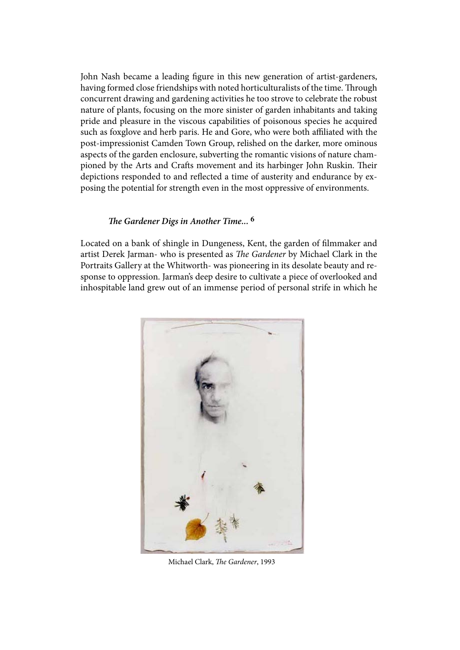John Nash became a leading figure in this new generation of artist-gardeners, having formed close friendships with noted horticulturalists of the time. Through concurrent drawing and gardening activities he too strove to celebrate the robust nature of plants, focusing on the more sinister of garden inhabitants and taking pride and pleasure in the viscous capabilities of poisonous species he acquired such as foxglove and herb paris. He and Gore, who were both affiliated with the post-impressionist Camden Town Group, relished on the darker, more ominous aspects of the garden enclosure, subverting the romantic visions of nature championed by the Arts and Crafts movement and its harbinger John Ruskin. Their depictions responded to and reflected a time of austerity and endurance by exposing the potential for strength even in the most oppressive of environments.

### *The Gardener Digs in Another Time...* **6**

Located on a bank of shingle in Dungeness, Kent, the garden of filmmaker and artist Derek Jarman- who is presented as *The Gardener* by Michael Clark in the Portraits Gallery at the Whitworth- was pioneering in its desolate beauty and response to oppression. Jarman's deep desire to cultivate a piece of overlooked and inhospitable land grew out of an immense period of personal strife in which he



Michael Clark, *The Gardener*, 1993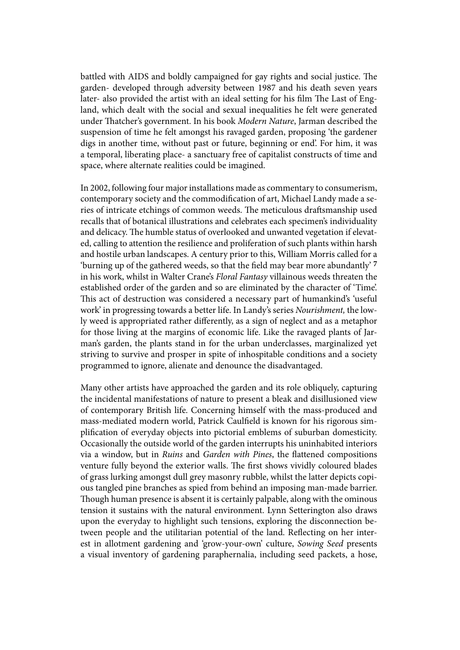battled with AIDS and boldly campaigned for gay rights and social justice. The garden- developed through adversity between 1987 and his death seven years later- also provided the artist with an ideal setting for his film The Last of England, which dealt with the social and sexual inequalities he felt were generated under Thatcher's government. In his book *Modern Nature*, Jarman described the suspension of time he felt amongst his ravaged garden, proposing 'the gardener digs in another time, without past or future, beginning or end'. For him, it was a temporal, liberating place- a sanctuary free of capitalist constructs of time and space, where alternate realities could be imagined.

In 2002, following four major installations made as commentary to consumerism, contemporary society and the commodification of art, Michael Landy made a series of intricate etchings of common weeds. The meticulous draftsmanship used recalls that of botanical illustrations and celebrates each specimen's individuality and delicacy. The humble status of overlooked and unwanted vegetation if elevated, calling to attention the resilience and proliferation of such plants within harsh and hostile urban landscapes. A century prior to this, William Morris called for a 'burning up of the gathered weeds, so that the field may bear more abundantly' **7**  in his work, whilst in Walter Crane's *Floral Fantasy* villainous weeds threaten the established order of the garden and so are eliminated by the character of 'Time'. This act of destruction was considered a necessary part of humankind's 'useful work' in progressing towards a better life. In Landy's series *Nourishment,* the lowly weed is appropriated rather differently, as a sign of neglect and as a metaphor for those living at the margins of economic life. Like the ravaged plants of Jarman's garden, the plants stand in for the urban underclasses, marginalized yet striving to survive and prosper in spite of inhospitable conditions and a society programmed to ignore, alienate and denounce the disadvantaged.

Many other artists have approached the garden and its role obliquely, capturing the incidental manifestations of nature to present a bleak and disillusioned view of contemporary British life. Concerning himself with the mass-produced and mass-mediated modern world, Patrick Caulfield is known for his rigorous simplification of everyday objects into pictorial emblems of suburban domesticity. Occasionally the outside world of the garden interrupts his uninhabited interiors via a window, but in *Ruins* and *Garden with Pines*, the flattened compositions venture fully beyond the exterior walls. The first shows vividly coloured blades of grass lurking amongst dull grey masonry rubble, whilst the latter depicts copious tangled pine branches as spied from behind an imposing man-made barrier. Though human presence is absent it is certainly palpable, along with the ominous tension it sustains with the natural environment. Lynn Setterington also draws upon the everyday to highlight such tensions, exploring the disconnection between people and the utilitarian potential of the land. Reflecting on her interest in allotment gardening and 'grow-your-own' culture, *Sowing Seed* presents a visual inventory of gardening paraphernalia, including seed packets, a hose,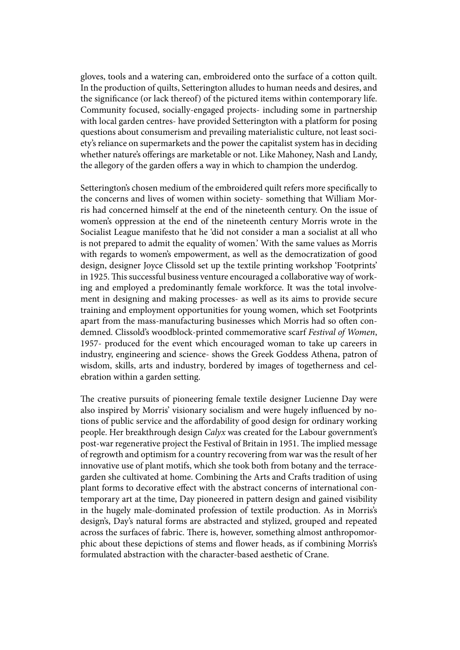gloves, tools and a watering can, embroidered onto the surface of a cotton quilt. In the production of quilts, Setterington alludes to human needs and desires, and the significance (or lack thereof) of the pictured items within contemporary life. Community focused, socially-engaged projects- including some in partnership with local garden centres- have provided Setterington with a platform for posing questions about consumerism and prevailing materialistic culture, not least society's reliance on supermarkets and the power the capitalist system has in deciding whether nature's offerings are marketable or not. Like Mahoney, Nash and Landy, the allegory of the garden offers a way in which to champion the underdog.

Setterington's chosen medium of the embroidered quilt refers more specifically to the concerns and lives of women within society- something that William Morris had concerned himself at the end of the nineteenth century. On the issue of women's oppression at the end of the nineteenth century Morris wrote in the Socialist League manifesto that he 'did not consider a man a socialist at all who is not prepared to admit the equality of women.' With the same values as Morris with regards to women's empowerment, as well as the democratization of good design, designer Joyce Clissold set up the textile printing workshop 'Footprints' in 1925. This successful business venture encouraged a collaborative way of working and employed a predominantly female workforce. It was the total involvement in designing and making processes- as well as its aims to provide secure training and employment opportunities for young women, which set Footprints apart from the mass-manufacturing businesses which Morris had so often condemned. Clissold's woodblock-printed commemorative scarf *Festival of Women*, 1957- produced for the event which encouraged woman to take up careers in industry, engineering and science- shows the Greek Goddess Athena, patron of wisdom, skills, arts and industry, bordered by images of togetherness and celebration within a garden setting.

The creative pursuits of pioneering female textile designer Lucienne Day were also inspired by Morris' visionary socialism and were hugely influenced by notions of public service and the affordability of good design for ordinary working people. Her breakthrough design *Calyx* was created for the Labour government's post-war regenerative project the Festival of Britain in 1951. The implied message of regrowth and optimism for a country recovering from war was the result of her innovative use of plant motifs, which she took both from botany and the terracegarden she cultivated at home. Combining the Arts and Crafts tradition of using plant forms to decorative effect with the abstract concerns of international contemporary art at the time, Day pioneered in pattern design and gained visibility in the hugely male-dominated profession of textile production. As in Morris's design's, Day's natural forms are abstracted and stylized, grouped and repeated across the surfaces of fabric. There is, however, something almost anthropomorphic about these depictions of stems and flower heads, as if combining Morris's formulated abstraction with the character-based aesthetic of Crane.